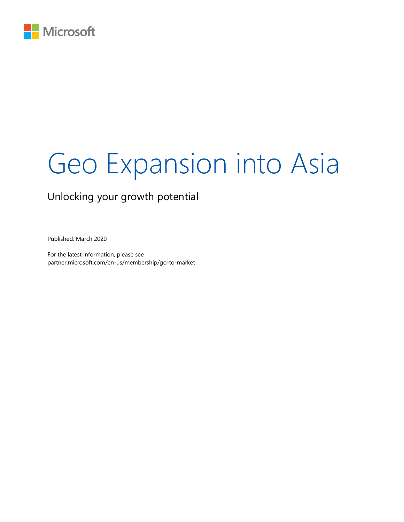

# Geo Expansion into Asia

### Unlocking your growth potential

Published: March 2020

For the latest information, please see partner.microsoft.com/en-us/membership/go-to-market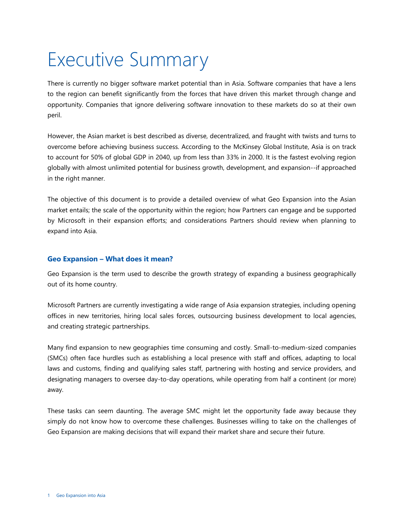## <span id="page-2-0"></span>Executive Summary

There is currently no bigger software market potential than in Asia. Software companies that have a lens to the region can benefit significantly from the forces that have driven this market through change and opportunity. Companies that ignore delivering software innovation to these markets do so at their own peril.

However, the Asian market is best described as diverse, decentralized, and fraught with twists and turns to overcome before achieving business success. According to the [McKinsey Global Institute,](https://www.mckinsey.com/featured-insights/asia-pacific/asias-future-is-now) Asia is on track to account for 50% of global GDP in 2040, up from less than 33% in 2000. It is the fastest evolving region globally with almost unlimited potential for business growth, development, and expansion--if approached in the right manner.

The objective of this document is to provide a detailed overview of what Geo Expansion into the Asian market entails; the scale of the opportunity within the region; how Partners can engage and be supported by Microsoft in their expansion efforts; and considerations Partners should review when planning to expand into Asia.

#### <span id="page-2-1"></span>**Geo Expansion – What does it mean?**

Geo Expansion is the term used to describe the growth strategy of expanding a business geographically out of its home country.

Microsoft Partners are currently investigating a wide range of Asia expansion strategies, including opening offices in new territories, hiring local sales forces, outsourcing business development to local agencies, and creating strategic partnerships.

Many find expansion to new geographies time consuming and costly. Small-to-medium-sized companies (SMCs) often face hurdles such as establishing a local presence with staff and offices, adapting to local laws and customs, finding and qualifying sales staff, partnering with hosting and service providers, and designating managers to oversee day-to-day operations, while operating from half a continent (or more) away.

These tasks can seem daunting. The average SMC might let the opportunity fade away because they simply do not know how to overcome these challenges. Businesses willing to take on the challenges of Geo Expansion are making decisions that will expand their market share and secure their future.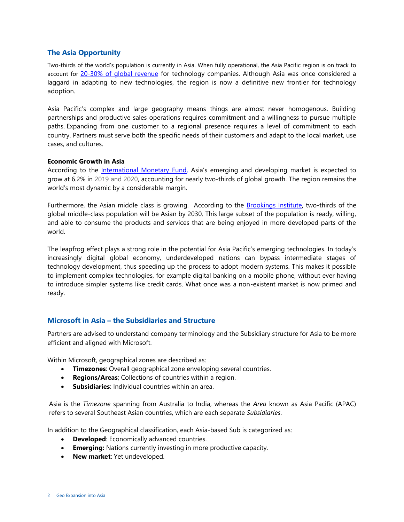#### <span id="page-3-0"></span>**The Asia Opportunity**

Two-thirds of the world's population is currently in Asia. When fully operational, the Asia Pacific region is on track to account for [20-30% of global revenue](https://www.mckinsey.com/featured-insights/asia-pacific/asias-future-is-now) for technology companies. Although Asia was once considered a laggard in adapting to new technologies, the region is now a definitive new frontier for technology adoption.

Asia Pacific's complex and large geography means things are almost never homogenous. Building partnerships and productive sales operations requires commitment and a willingness to pursue multiple paths. Expanding from one customer to a regional presence requires a level of commitment to each country. Partners must serve both the specific needs of their customers and adapt to the local market, use cases, and cultures.

#### **Economic Growth in Asia**

According to the [International Monetary Fund,](https://www.imf.org/en/Publications/WEO/Issues/2019/07/18/WEOupdateJuly2019) Asia's emerging and developing market is expected to grow at 6.2% in 2019 and 2020, accounting for nearly two-thirds of global growth. The region remains the world's most dynamic by a considerable margin.

Furthermore, the Asian middle class is growing. According to the [Brookings Institute,](https://www.brookings.edu/research/the-unprecedented-expansion-of-the-global-middle-class-2/) two-thirds of the global middle-class population will be Asian by 2030. This large subset of the population is ready, willing, and able to consume the products and services that are being enjoyed in more developed parts of the world.

The leapfrog effect plays a strong role in the potential for Asia Pacific's emerging technologies. In today's increasingly digital global economy, underdeveloped nations can bypass intermediate stages of technology development, thus speeding up the process to adopt modern systems. This makes it possible to implement complex technologies, for example digital banking on a mobile phone, without ever having to introduce simpler systems like credit cards. What once was a non-existent market is now primed and ready.

#### <span id="page-3-1"></span>**Microsoft in Asia – the Subsidiaries and Structure**

Partners are advised to understand company terminology and the Subsidiary structure for Asia to be more efficient and aligned with Microsoft.

Within Microsoft, geographical zones are described as:

- **Timezones**: Overall geographical zone enveloping several countries.
- **Regions/Areas**; Collections of countries within a region.
- **Subsidiaries**: Individual countries within an area.

Asia is the *Timezone* spanning from Australia to India, whereas the *Area* known as Asia Pacific (APAC) refers to several Southeast Asian countries, which are each separate *Subsidiaries*.

In addition to the Geographical classification, each Asia-based Sub is categorized as:

- **Developed**: Economically advanced countries.
- **Emerging:** Nations currently investing in more productive capacity.
- **New market**: Yet undeveloped.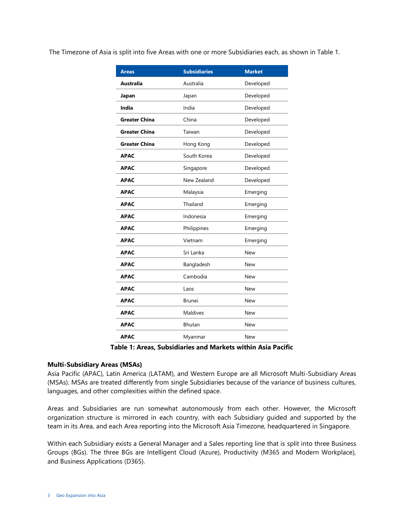The Timezone of Asia is split into five Areas with one or more Subsidiaries each, as shown in Table 1.

| <b>Areas</b>         | <b>Subsidiaries</b> | <b>Market</b> |
|----------------------|---------------------|---------------|
| Australia            | Australia           | Developed     |
| Japan                | Japan               | Developed     |
| India                | India               | Developed     |
| <b>Greater China</b> | China               | Developed     |
| <b>Greater China</b> | Taiwan              | Developed     |
| Greater China        | Hong Kong           | Developed     |
| <b>APAC</b>          | South Korea         | Developed     |
| <b>APAC</b>          | Singapore           | Developed     |
| <b>APAC</b>          | New Zealand         | Developed     |
| <b>APAC</b>          | Malaysia            | Emerging      |
| <b>APAC</b>          | Thailand            | Emerging      |
| <b>APAC</b>          | Indonesia           | Emerging      |
| <b>APAC</b>          | Philippines         | Emerging      |
| <b>APAC</b>          | Vietnam             | Emerging      |
| <b>APAC</b>          | Sri Lanka           | <b>New</b>    |
| <b>APAC</b>          | Bangladesh          | <b>New</b>    |
| <b>APAC</b>          | Cambodia            | New           |
| <b>APAC</b>          | Laos                | <b>New</b>    |
| APAC                 | <b>Brunei</b>       | <b>New</b>    |
| <b>APAC</b>          | Maldives            | New           |
| <b>APAC</b>          | <b>Bhutan</b>       | New           |
| APAC                 | Myanmar             | <b>New</b>    |

**Table 1: Areas, Subsidiaries and Markets within Asia Pacific**

#### **Multi-Subsidiary Areas (MSAs)**

Asia Pacific (APAC), Latin America (LATAM), and Western Europe are all Microsoft Multi-Subsidiary Areas (MSAs). MSAs are treated differently from single Subsidiaries because of the variance of business cultures, languages, and other complexities within the defined space.

Areas and Subsidiaries are run somewhat autonomously from each other. However, the Microsoft organization structure is mirrored in each country, with each Subsidiary guided and supported by the team in its Area, and each Area reporting into the Microsoft Asia Timezone, headquartered in Singapore.

Within each Subsidiary exists a General Manager and a Sales reporting line that is split into three Business Groups (BGs). The three BGs are Intelligent Cloud (Azure), Productivity (M365 and Modern Workplace), and Business Applications (D365).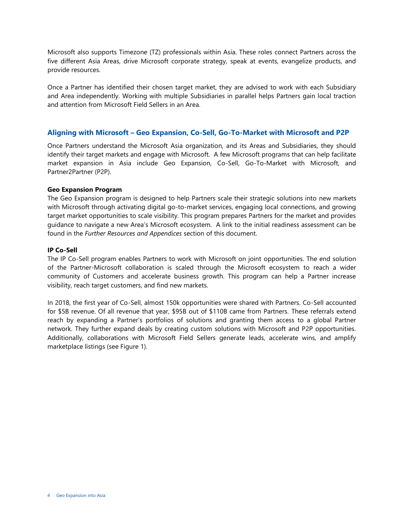Microsoft also supports Timezone (TZ) professionals within Asia. These roles connect Partners across the five different Asia Areas, drive Microsoft corporate strategy, speak at events, evangelize products, and provide resources.

Once a Partner has identified their chosen target market, they are advised to work with each Subsidiary and Area independently. Working with multiple Subsidiaries in parallel helps Partners gain local traction and attention from Microsoft Field Sellers in an Area.

#### <span id="page-5-0"></span>**Aligning with Microsoft – Geo Expansion, Co-Sell, Go-To-Market with Microsoft and P2P**

Once Partners understand the Microsoft Asia organization, and its Areas and Subsidiaries, they should identify their target markets and engage with Microsoft. A few Microsoft programs that can help facilitate market expansion in Asia include Geo Expansion, Co-Sell, Go-To-Market with Microsoft, and Partner2Partner (P2P).

#### **Geo Expansion Program**

The Geo Expansion program is designed to help Partners scale their strategic solutions into new markets with Microsoft through activating digital go-to-market services, engaging local connections, and growing target market opportunities to scale visibility. This program prepares Partners for the market and provides guidance to navigate a new Area's Microsoft ecosystem. A link to the initial readiness assessment can be found in the *Further Resources and Appendices* section of this document.

#### **IP Co-Sell**

The IP Co-Sell program enables Partners to work with Microsoft on joint opportunities. The end solution of the Partner-Microsoft collaboration is scaled through the Microsoft ecosystem to reach a wider community of Customers and accelerate business growth. This program can help a Partner increase visibility, reach target customers, and find new markets.

In 2018, the first year of Co-Sell, almost 150k opportunities were shared with Partners. Co-Sell accounted for \$5B revenue. Of all revenue that year, \$95B out of \$110B came from Partners. These referrals extend reach by expanding a Partner's portfolios of solutions and granting them access to a global Partner network. They further expand deals by creating custom solutions with Microsoft and P2P opportunities. Additionally, collaborations with Microsoft Field Sellers generate leads, accelerate wins, and amplify marketplace listings (see Figure 1).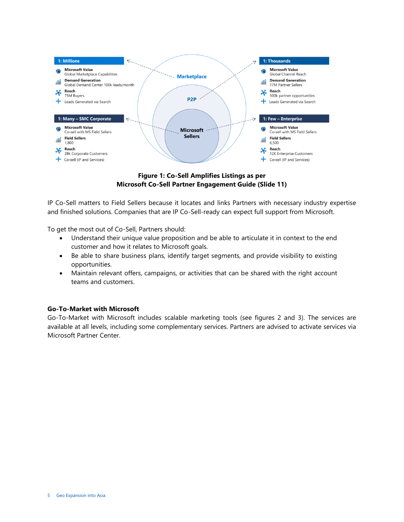

**Figure 1: Co-Sell Amplifies Listings as per Microsoft Co-Sell Partner Engagement Guide (Slide 11)** 

IP Co-Sell matters to Field Sellers because it locates and links Partners with necessary industry expertise and finished solutions. Companies that are IP Co-Sell-ready can expect full support from Microsoft.

To get the most out of Co-Sell, Partners should:

- Understand their unique value proposition and be able to articulate it in context to the end customer and how it relates to Microsoft goals.
- Be able to share business plans, identify target segments, and provide visibility to existing opportunities.
- Maintain relevant offers, campaigns, or activities that can be shared with the right account teams and customers.

#### **Go-To-Market with Microsoft**

Go-To-Market with Microsoft includes scalable marketing tools (see figures 2 and 3). The services are available at all levels, including some complementary services. Partners are advised to activate services via Microsoft Partner Center.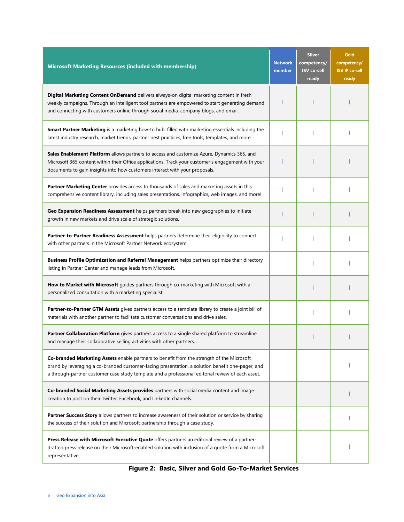| <b>Microsoft Marketing Resources (included with membership)</b>                                                                                                                                                                                                                                    | <b>Network</b><br>member | <b>Silver</b><br>competency/<br><b>ISV</b> co-sell<br>ready | Gold<br>competency/<br><b>ISV IP co-sell</b><br>ready |
|----------------------------------------------------------------------------------------------------------------------------------------------------------------------------------------------------------------------------------------------------------------------------------------------------|--------------------------|-------------------------------------------------------------|-------------------------------------------------------|
| Digital Marketing Content OnDemand delivers always-on digital marketing content in fresh<br>weekly campaigns. Through an intelligent tool partners are empowered to start generating demand<br>and connecting with customers online through social media, company blogs, and email.                |                          |                                                             |                                                       |
| Smart Partner Marketing is a marketing how-to hub, filled with marketing essentials including the<br>latest industry research, market trends, partner best practices, free tools, templates, and more.                                                                                             |                          |                                                             |                                                       |
| Sales Enablement Platform allows partners to access and customize Azure, Dynamics 365, and<br>Microsoft 365 content within their Office applications. Track your customer's engagement with your<br>documents to gain insights into how customers interact with your proposals.                    |                          |                                                             |                                                       |
| Partner Marketing Center provides access to thousands of sales and marketing assets in this<br>comprehensive content library, including sales presentations, infographics, web images, and more!                                                                                                   |                          |                                                             |                                                       |
| Geo Expansion Readiness Assessment helps partners break into new geographies to initiate<br>growth in new markets and drive scale of strategic solutions.                                                                                                                                          |                          |                                                             |                                                       |
| Partner-to-Partner Readiness Assessment helps partners determine their eligibility to connect<br>with other partners in the Microsoft Partner Network ecosystem.                                                                                                                                   |                          |                                                             |                                                       |
| Business Profile Optimization and Referral Management helps partners optimize their directory<br>listing in Partner Center and manage leads from Microsoft.                                                                                                                                        |                          |                                                             |                                                       |
| How to Market with Microsoft guides partners through co-marketing with Microsoft with a<br>personalized consultation with a marketing specialist.                                                                                                                                                  |                          |                                                             |                                                       |
| Partner-to-Partner GTM Assets gives partners access to a template library to create a joint bill of<br>materials with another partner to facilitate customer conversations and drive sales.                                                                                                        |                          |                                                             |                                                       |
| Partner Collaboration Platform gives partners access to a single shared platform to streamline<br>and manage their collaborative selling activities with other partners.                                                                                                                           |                          |                                                             |                                                       |
| Co-branded Marketing Assets enable partners to benefit from the strength of the Microsoft<br>brand by leveraging a co-branded customer-facing presentation, a solution benefit one-pager, and<br>a through-partner customer case study template and a professional editorial review of each asset. |                          |                                                             |                                                       |
| Co-branded Social Marketing Assets provides partners with social media content and image<br>creation to post on their Twitter, Facebook, and LinkedIn channels.                                                                                                                                    |                          |                                                             |                                                       |
| Partner Success Story allows partners to increase awareness of their solution or service by sharing<br>the success of their solution and Microsoft partnership through a case study.                                                                                                               |                          |                                                             |                                                       |
| Press Release with Microsoft Executive Quote offers partners an editorial review of a partner-<br>drafted press release on their Microsoft-enabled solution with inclusion of a quote from a Microsoft<br>representative.                                                                          |                          |                                                             |                                                       |

**Figure 2: Basic, Silver and Gold Go-To-Market Services**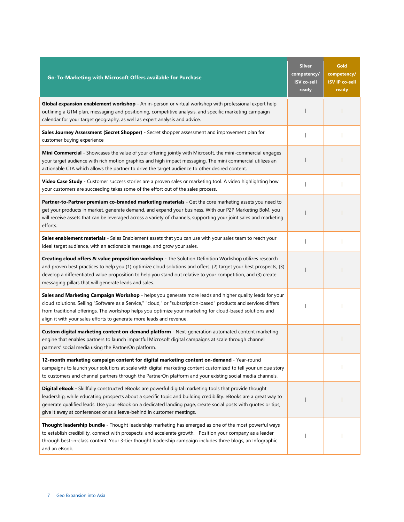| Go-To-Marketing with Microsoft Offers available for Purchase                                                                                                                                                                                                                                                                                                                                                            | <b>Silver</b><br>competency/<br><b>ISV</b> co-sell<br>ready | Gold<br>competency/<br><b>ISV IP co-sell</b><br>ready |
|-------------------------------------------------------------------------------------------------------------------------------------------------------------------------------------------------------------------------------------------------------------------------------------------------------------------------------------------------------------------------------------------------------------------------|-------------------------------------------------------------|-------------------------------------------------------|
| Global expansion enablement workshop - An in-person or virtual workshop with professional expert help<br>outlining a GTM plan, messaging and positioning, competitive analysis, and specific marketing campaign<br>calendar for your target geography, as well as expert analysis and advice.                                                                                                                           |                                                             |                                                       |
| Sales Journey Assessment (Secret Shopper) - Secret shopper assessment and improvement plan for<br>customer buying experience                                                                                                                                                                                                                                                                                            |                                                             |                                                       |
| Mini Commercial - Showcases the value of your offering jointly with Microsoft, the mini-commercial engages<br>your target audience with rich motion graphics and high impact messaging. The mini commercial utilizes an<br>actionable CTA which allows the partner to drive the target audience to other desired content.                                                                                               |                                                             |                                                       |
| Video Case Study - Customer success stories are a proven sales or marketing tool. A video highlighting how<br>your customers are succeeding takes some of the effort out of the sales process.                                                                                                                                                                                                                          |                                                             |                                                       |
| Partner-to-Partner premium co-branded marketing materials - Get the core marketing assets you need to<br>get your products in market, generate demand, and expand your business. With our P2P Marketing BoM, you<br>will receive assets that can be leveraged across a variety of channels, supporting your joint sales and marketing<br>efforts.                                                                       |                                                             |                                                       |
| Sales enablement materials - Sales Enablement assets that you can use with your sales team to reach your<br>ideal target audience, with an actionable message, and grow your sales.                                                                                                                                                                                                                                     |                                                             |                                                       |
| Creating cloud offers & value proposition workshop - The Solution Definition Workshop utilizes research<br>and proven best practices to help you (1) optimize cloud solutions and offers, (2) target your best prospects, (3)<br>develop a differentiated value proposition to help you stand out relative to your competition, and (3) create<br>messaging pillars that will generate leads and sales.                 |                                                             |                                                       |
| Sales and Marketing Campaign Workshop - helps you generate more leads and higher quality leads for your<br>cloud solutions. Selling "Software as a Service," "cloud," or "subscription-based" products and services differs<br>from traditional offerings. The workshop helps you optimize your marketing for cloud-based solutions and<br>align it with your sales efforts to generate more leads and revenue.         |                                                             |                                                       |
| Custom digital marketing content on-demand platform - Next-generation automated content marketing<br>engine that enables partners to launch impactful Microsoft digital campaigns at scale through channel<br>partners' social media using the PartnerOn platform.                                                                                                                                                      |                                                             |                                                       |
| 12-month marketing campaign content for digital marketing content on-demand - Year-round<br>campaigns to launch your solutions at scale with digital marketing content customized to tell your unique story<br>to customers and channel partners through the PartnerOn platform and your existing social media channels.                                                                                                |                                                             |                                                       |
| Digital eBook - Skillfully constructed eBooks are powerful digital marketing tools that provide thought<br>leadership, while educating prospects about a specific topic and building credibility. eBooks are a great way to<br>generate qualified leads. Use your eBook on a dedicated landing page, create social posts with quotes or tips,<br>give it away at conferences or as a leave-behind in customer meetings. |                                                             |                                                       |
| Thought leadership bundle - Thought leadership marketing has emerged as one of the most powerful ways<br>to establish credibility, connect with prospects, and accelerate growth.  Position your company as a leader<br>through best-in-class content. Your 3-tier thought leadership campaign includes three blogs, an Infographic<br>and an eBook.                                                                    |                                                             |                                                       |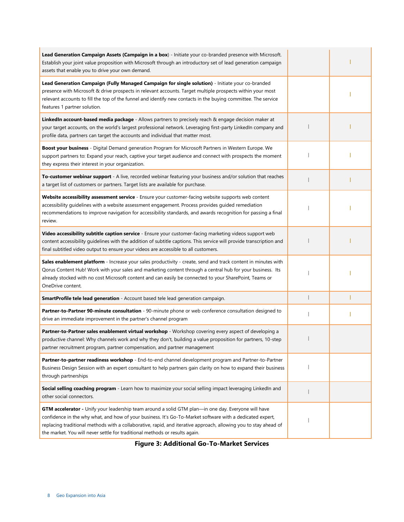| Lead Generation Campaign Assets (Campaign in a box) - Initiate your co-branded presence with Microsoft.<br>Establish your joint value proposition with Microsoft through an introductory set of lead generation campaign<br>assets that enable you to drive your own demand.                                                                                                                                        |  |
|---------------------------------------------------------------------------------------------------------------------------------------------------------------------------------------------------------------------------------------------------------------------------------------------------------------------------------------------------------------------------------------------------------------------|--|
| Lead Generation Campaign (Fully Managed Campaign for single solution) - Initiate your co-branded<br>presence with Microsoft & drive prospects in relevant accounts. Target multiple prospects within your most<br>relevant accounts to fill the top of the funnel and identify new contacts in the buying committee. The service<br>features 1 partner solution.                                                    |  |
| LinkedIn account-based media package - Allows partners to precisely reach & engage decision maker at<br>your target accounts, on the world's largest professional network. Leveraging first-party LinkedIn company and<br>profile data, partners can target the accounts and individual that matter most.                                                                                                           |  |
| Boost your business - Digital Demand generation Program for Microsoft Partners in Western Europe. We<br>support partners to: Expand your reach, captive your target audience and connect with prospects the moment<br>they express their interest in your organization.                                                                                                                                             |  |
| To-customer webinar support - A live, recorded webinar featuring your business and/or solution that reaches<br>a target list of customers or partners. Target lists are available for purchase.                                                                                                                                                                                                                     |  |
| Website accessibility assessment service - Ensure your customer-facing website supports web content<br>accessibility guidelines with a website assessment engagement. Process provides guided remediation<br>recommendations to improve navigation for accessibility standards, and awards recognition for passing a final<br>review.                                                                               |  |
| Video accessibility subtitle caption service - Ensure your customer-facing marketing videos support web<br>content accessibility guidelines with the addition of subtitle captions. This service will provide transcription and<br>final subtitled video output to ensure your videos are accessible to all customers.                                                                                              |  |
| Sales enablement platform - Increase your sales productivity - create, send and track content in minutes with<br>Qorus Content Hub! Work with your sales and marketing content through a central hub for your business. Its<br>already stocked with no cost Microsoft content and can easily be connected to your SharePoint, Teams or<br>OneDrive content.                                                         |  |
| SmartProfile tele lead generation - Account based tele lead generation campaign.                                                                                                                                                                                                                                                                                                                                    |  |
| Partner-to-Partner 90-minute consultation - 90-minute phone or web conference consultation designed to<br>drive an immediate improvement in the partner's channel program                                                                                                                                                                                                                                           |  |
| Partner-to-Partner sales enablement virtual workshop - Workshop covering every aspect of developing a<br>productive channel: Why channels work and why they don't, building a value proposition for partners, 10-step<br>partner recruitment program, partner compensation, and partner management                                                                                                                  |  |
| Partner-to-partner readiness workshop - End-to-end channel development program and Partner-to-Partner<br>Business Design Session with an expert consultant to help partners gain clarity on how to expand their business<br>through partnerships                                                                                                                                                                    |  |
| Social selling coaching program - Learn how to maximize your social selling impact leveraging LinkedIn and<br>other social connectors.                                                                                                                                                                                                                                                                              |  |
| GTM accelerator - Unify your leadership team around a solid GTM plan—in one day. Everyone will have<br>confidence in the why what, and how of your business. It's Go-To-Market software with a dedicated expert,<br>replacing traditional methods with a collaborative, rapid, and iterative approach, allowing you to stay ahead of<br>the market. You will never settle for traditional methods or results again. |  |

**Figure 3: Additional Go-To-Market Services**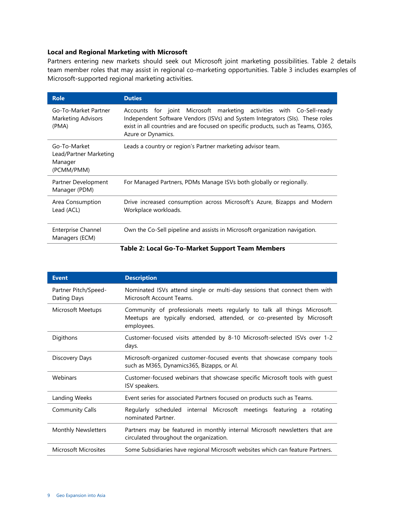#### **Local and Regional Marketing with Microsoft**

Partners entering new markets should seek out Microsoft joint marketing possibilities. Table 2 details team member roles that may assist in regional co-marketing opportunities. Table 3 includes examples of Microsoft-supported regional marketing activities.

| <b>Role</b>                                                     | <b>Duties</b>                                                                                                                                                                                                                                                    |
|-----------------------------------------------------------------|------------------------------------------------------------------------------------------------------------------------------------------------------------------------------------------------------------------------------------------------------------------|
| Go-To-Market Partner<br><b>Marketing Advisors</b><br>(PMA)      | Accounts for joint Microsoft marketing activities with Co-Sell-ready<br>Independent Software Vendors (ISVs) and System Integrators (SIs). These roles<br>exist in all countries and are focused on specific products, such as Teams, O365,<br>Azure or Dynamics. |
| Go-To-Market<br>Lead/Partner Marketing<br>Manager<br>(PCMM/PMM) | Leads a country or region's Partner marketing advisor team.                                                                                                                                                                                                      |
| Partner Development<br>Manager (PDM)                            | For Managed Partners, PDMs Manage ISVs both globally or regionally.                                                                                                                                                                                              |
| Area Consumption<br>Lead (ACL)                                  | Drive increased consumption across Microsoft's Azure, Bizapps and Modern<br>Workplace workloads.                                                                                                                                                                 |
| <b>Enterprise Channel</b><br>Managers (ECM)                     | Own the Co-Sell pipeline and assists in Microsoft organization navigation.                                                                                                                                                                                       |

#### **Table 2: Local Go-To-Market Support Team Members**

| <b>Event</b>                        | <b>Description</b>                                                                                                                                               |  |  |  |
|-------------------------------------|------------------------------------------------------------------------------------------------------------------------------------------------------------------|--|--|--|
| Partner Pitch/Speed-<br>Dating Days | Nominated ISVs attend single or multi-day sessions that connect them with<br>Microsoft Account Teams                                                             |  |  |  |
| Microsoft Meetups                   | Community of professionals meets regularly to talk all things Microsoft.<br>Meetups are typically endorsed, attended, or co-presented by Microsoft<br>employees. |  |  |  |
| Digithons                           | Customer-focused visits attended by 8-10 Microsoft-selected ISVs over 1-2<br>days.                                                                               |  |  |  |
| Discovery Days                      | Microsoft-organized customer-focused events that showcase company tools<br>such as M365, Dynamics 365, Bizapps, or Al.                                           |  |  |  |
| Webinars                            | Customer-focused webinars that showcase specific Microsoft tools with quest<br>ISV speakers.                                                                     |  |  |  |
| Landing Weeks                       | Event series for associated Partners focused on products such as Teams.                                                                                          |  |  |  |
| <b>Community Calls</b>              | Regularly scheduled internal Microsoft meetings featuring a<br>rotating<br>nominated Partner.                                                                    |  |  |  |
| <b>Monthly Newsletters</b>          | Partners may be featured in monthly internal Microsoft newsletters that are<br>circulated throughout the organization.                                           |  |  |  |
| <b>Microsoft Microsites</b>         | Some Subsidiaries have regional Microsoft websites which can feature Partners.                                                                                   |  |  |  |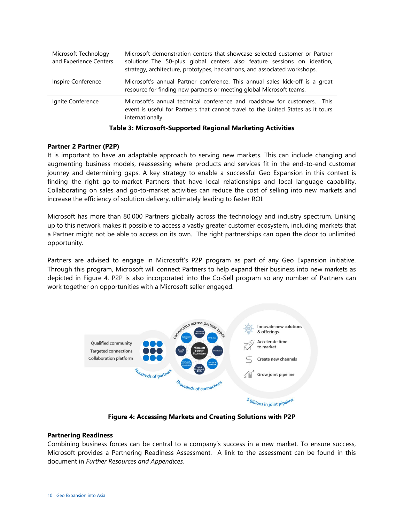| Microsoft Technology<br>and Experience Centers | Microsoft demonstration centers that showcase selected customer or Partner<br>solutions. The 50-plus global centers also feature sessions on ideation,<br>strategy, architecture, prototypes, hackathons, and associated workshops. |
|------------------------------------------------|-------------------------------------------------------------------------------------------------------------------------------------------------------------------------------------------------------------------------------------|
| Inspire Conference                             | Microsoft's annual Partner conference. This annual sales kick-off is a great<br>resource for finding new partners or meeting global Microsoft teams.                                                                                |
| Ignite Conference                              | Microsoft's annual technical conference and roadshow for customers. This<br>event is useful for Partners that cannot travel to the United States as it tours<br>internationally.                                                    |

|  |  | Table 3: Microsoft-Supported Regional Marketing Activities |  |
|--|--|------------------------------------------------------------|--|
|  |  |                                                            |  |

#### **Partner 2 Partner (P2P)**

It is important to have an adaptable approach to serving new markets. This can include changing and augmenting business models, reassessing where products and services fit in the end-to-end customer journey and determining gaps. A key strategy to enable a successful Geo Expansion in this context is finding the right go-to-market Partners that have local relationships and local language capability. Collaborating on sales and go-to-market activities can reduce the cost of selling into new markets and increase the efficiency of solution delivery, ultimately leading to faster ROI.

Microsoft has more than 80,000 Partners globally across the technology and industry spectrum. Linking up to this network makes it possible to access a vastly greater customer ecosystem, including markets that a Partner might not be able to access on its own. The right partnerships can open the door to unlimited opportunity.

Partners are advised to engage in Microsoft's P2P program as part of any Geo Expansion initiative. Through this program, Microsoft will connect Partners to help expand their business into new markets as depicted in Figure 4. P2P is also incorporated into the Co-Sell program so any number of Partners can work together on opportunities with a Microsoft seller engaged.



**Figure 4: Accessing Markets and Creating Solutions with P2P**

#### **Partnering Readiness**

Combining business forces can be central to a company's success in a new market. To ensure success, Microsoft provides a Partnering Readiness Assessment. A link to the assessment can be found in this document in *Further Resources and Appendices*.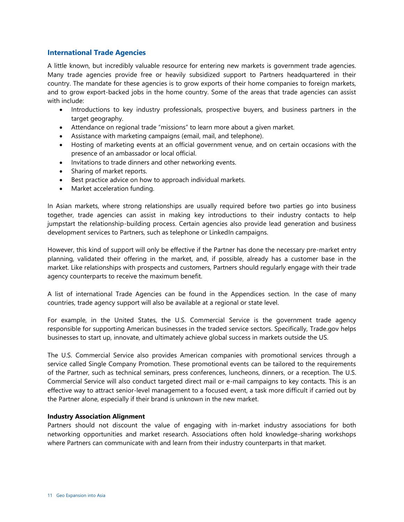#### <span id="page-12-0"></span>**International Trade Agencies**

A little known, but incredibly valuable resource for entering new markets is government trade agencies. Many trade agencies provide free or heavily subsidized support to Partners headquartered in their country. The mandate for these agencies is to grow exports of their home companies to foreign markets, and to grow export-backed jobs in the home country. Some of the areas that trade agencies can assist with include:

- Introductions to key industry professionals, prospective buyers, and business partners in the target geography.
- Attendance on regional trade "missions" to learn more about a given market.
- Assistance with marketing campaigns (email, mail, and telephone).
- Hosting of marketing events at an official government venue, and on certain occasions with the presence of an ambassador or local official.
- Invitations to trade dinners and other networking events.
- Sharing of market reports.
- Best practice advice on how to approach individual markets.
- Market acceleration funding.

In Asian markets, where strong relationships are usually required before two parties go into business together, trade agencies can assist in making key introductions to their industry contacts to help jumpstart the relationship-building process. Certain agencies also provide lead generation and business development services to Partners, such as telephone or LinkedIn campaigns.

However, this kind of support will only be effective if the Partner has done the necessary pre-market entry planning, validated their offering in the market, and, if possible, already has a customer base in the market. Like relationships with prospects and customers, Partners should regularly engage with their trade agency counterparts to receive the maximum benefit.

A list of international Trade Agencies can be found in the Appendices section. In the case of many countries, trade agency support will also be available at a regional or state level.

For example, in the United States, the U.S. Commercial Service is the government trade agency responsible for supporting American businesses in the traded service sectors. Specifically, Trade.gov helps businesses to start up, innovate, and ultimately achieve global success in markets outside the US.

The U.S. Commercial Service also provides American companies with promotional services through a service called Single Company Promotion. These promotional events can be tailored to the requirements of the Partner, such as technical seminars, press conferences, luncheons, dinners, or a reception. The U.S. Commercial Service will also conduct targeted direct mail or e-mail campaigns to key contacts. This is an effective way to attract senior-level management to a focused event, a task more difficult if carried out by the Partner alone, especially if their brand is unknown in the new market.

#### **Industry Association Alignment**

Partners should not discount the value of engaging with in-market industry associations for both networking opportunities and market research. Associations often hold knowledge-sharing workshops where Partners can communicate with and learn from their industry counterparts in that market.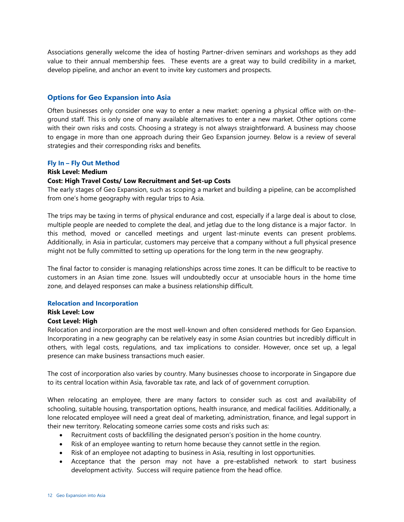Associations generally welcome the idea of hosting Partner-driven seminars and workshops as they add value to their annual membership fees. These events are a great way to build credibility in a market, develop pipeline, and anchor an event to invite key customers and prospects.

#### <span id="page-13-0"></span>**Options for Geo Expansion into Asia**

Often businesses only consider one way to enter a new market: opening a physical office with on-theground staff. This is only one of many available alternatives to enter a new market. Other options come with their own risks and costs. Choosing a strategy is not always straightforward. A business may choose to engage in more than one approach during their Geo Expansion journey. Below is a review of several strategies and their corresponding risks and benefits.

#### **Fly In – Fly Out Method**

#### **Risk Level: Medium**

#### **Cost: High Travel Costs/ Low Recruitment and Set-up Costs**

The early stages of Geo Expansion, such as scoping a market and building a pipeline, can be accomplished from one's home geography with regular trips to Asia.

The trips may be taxing in terms of physical endurance and cost, especially if a large deal is about to close, multiple people are needed to complete the deal, and jetlag due to the long distance is a major factor. In this method, moved or cancelled meetings and urgent last-minute events can present problems. Additionally, in Asia in particular, customers may perceive that a company without a full physical presence might not be fully committed to setting up operations for the long term in the new geography.

The final factor to consider is managing relationships across time zones. It can be difficult to be reactive to customers in an Asian time zone. Issues will undoubtedly occur at unsociable hours in the home time zone, and delayed responses can make a business relationship difficult.

#### **Relocation and Incorporation**

#### **Risk Level: Low**

#### **Cost Level: High**

Relocation and incorporation are the most well-known and often considered methods for Geo Expansion. Incorporating in a new geography can be relatively easy in some Asian countries but incredibly difficult in others, with legal costs, regulations, and tax implications to consider. However, once set up, a legal presence can make business transactions much easier.

The cost of incorporation also varies by country. Many businesses choose to incorporate in Singapore due to its central location within Asia, favorable tax rate, and lack of of government corruption.

When relocating an employee, there are many factors to consider such as cost and availability of schooling, suitable housing, transportation options, health insurance, and medical facilities. Additionally, a lone relocated employee will need a great deal of marketing, administration, finance, and legal support in their new territory. Relocating someone carries some costs and risks such as:

- Recruitment costs of backfilling the designated person's position in the home country.
- Risk of an employee wanting to return home because they cannot settle in the region.
- Risk of an employee not adapting to business in Asia, resulting in lost opportunities.
- Acceptance that the person may not have a pre-established network to start business development activity. Success will require patience from the head office.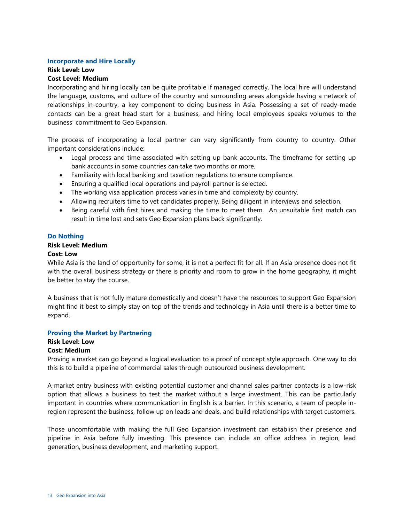#### **Incorporate and Hire Locally**

#### **Risk Level: Low**

#### **Cost Level: Medium**

Incorporating and hiring locally can be quite profitable if managed correctly. The local hire will understand the language, customs, and culture of the country and surrounding areas alongside having a network of relationships in-country, a key component to doing business in Asia. Possessing a set of ready-made contacts can be a great head start for a business, and hiring local employees speaks volumes to the business' commitment to Geo Expansion.

The process of incorporating a local partner can vary significantly from country to country. Other important considerations include:

- Legal process and time associated with setting up bank accounts. The timeframe for setting up bank accounts in some countries can take two months or more.
- Familiarity with local banking and taxation regulations to ensure compliance.
- Ensuring a qualified local operations and payroll partner is selected.
- The working visa application process varies in time and complexity by country.
- Allowing recruiters time to vet candidates properly. Being diligent in interviews and selection.
- Being careful with first hires and making the time to meet them. An unsuitable first match can result in time lost and sets Geo Expansion plans back significantly.

#### **Do Nothing**

#### **Risk Level: Medium**

#### **Cost: Low**

While Asia is the land of opportunity for some, it is not a perfect fit for all. If an Asia presence does not fit with the overall business strategy or there is priority and room to grow in the home geography, it might be better to stay the course.

A business that is not fully mature domestically and doesn't have the resources to support Geo Expansion might find it best to simply stay on top of the trends and technology in Asia until there is a better time to expand.

#### **Proving the Market by Partnering**

#### **Risk Level: Low Cost: Medium**

Proving a market can go beyond a logical evaluation to a proof of concept style approach. One way to do this is to build a pipeline of commercial sales through outsourced business development.

A market entry business with existing potential customer and channel sales partner contacts is a low-risk option that allows a business to test the market without a large investment. This can be particularly important in countries where communication in English is a barrier. In this scenario, a team of people inregion represent the business, follow up on leads and deals, and build relationships with target customers.

Those uncomfortable with making the full Geo Expansion investment can establish their presence and pipeline in Asia before fully investing. This presence can include an office address in region, lead generation, business development, and marketing support.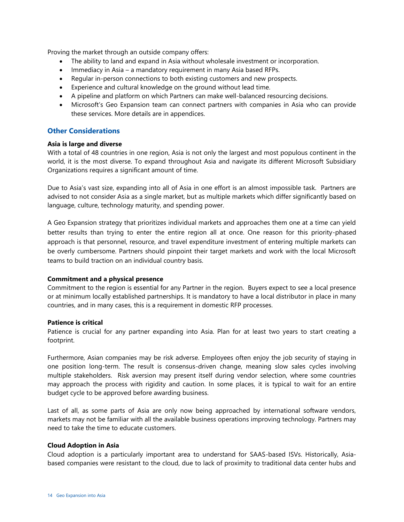Proving the market through an outside company offers:

- The ability to land and expand in Asia without wholesale investment or incorporation.
- Immediacy in Asia a mandatory requirement in many Asia based RFPs.
- Regular in-person connections to both existing customers and new prospects.
- Experience and cultural knowledge on the ground without lead time.
- A pipeline and platform on which Partners can make well-balanced resourcing decisions.
- Microsoft's Geo Expansion team can connect partners with companies in Asia who can provide these services. More details are in appendices.

#### <span id="page-15-0"></span>**Other Considerations**

#### **Asia is large and diverse**

With a total of 48 countries in one region, Asia is not only the largest and most populous continent in the world, it is the most diverse. To expand throughout Asia and navigate its different Microsoft Subsidiary Organizations requires a significant amount of time.

Due to Asia's vast size, expanding into all of Asia in one effort is an almost impossible task. Partners are advised to not consider Asia as a single market, but as multiple markets which differ significantly based on language, culture, technology maturity, and spending power.

A Geo Expansion strategy that prioritizes individual markets and approaches them one at a time can yield better results than trying to enter the entire region all at once. One reason for this priority-phased approach is that personnel, resource, and travel expenditure investment of entering multiple markets can be overly cumbersome. Partners should pinpoint their target markets and work with the local Microsoft teams to build traction on an individual country basis.

#### **Commitment and a physical presence**

Commitment to the region is essential for any Partner in the region. Buyers expect to see a local presence or at minimum locally established partnerships. It is mandatory to have a local distributor in place in many countries, and in many cases, this is a requirement in domestic RFP processes.

#### **Patience is critical**

Patience is crucial for any partner expanding into Asia. Plan for at least two years to start creating a footprint.

Furthermore, Asian companies may be risk adverse. Employees often enjoy the job security of staying in one position long-term. The result is consensus-driven change, meaning slow sales cycles involving multiple stakeholders. Risk aversion may present itself during vendor selection, where some countries may approach the process with rigidity and caution. In some places, it is typical to wait for an entire budget cycle to be approved before awarding business.

Last of all, as some parts of Asia are only now being approached by international software vendors, markets may not be familiar with all the available business operations improving technology. Partners may need to take the time to educate customers.

#### **Cloud Adoption in Asia**

Cloud adoption is a particularly important area to understand for SAAS-based ISVs. Historically, Asiabased companies were resistant to the cloud, due to lack of proximity to traditional data center hubs and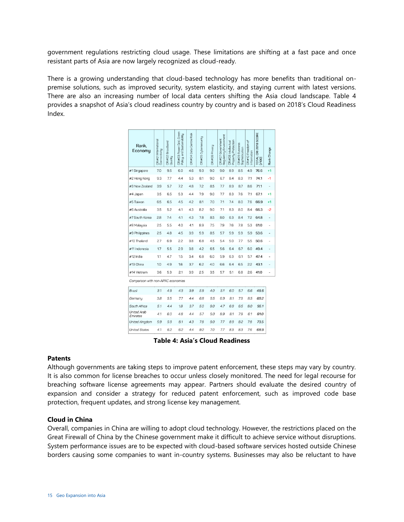government regulations restricting cloud usage. These limitations are shifting at a fast pace and once resistant parts of Asia are now largely recognized as cloud-ready.

There is a growing understanding that cloud-based technology has more benefits than traditional onpremise solutions, such as improved security, system elasticity, and staying current with latest versions. There are also an increasing number of local data centers shifting the Asia cloud landscape. Table 4 provides a snapshot of Asia's cloud readiness country by country and is based on 2018's Cloud Readiness Index.

| Rank.<br>Economy                   | CRI#01 International<br>Connectivity | CRI#02 Broadband<br>Quality | Green<br>and Sustainability<br>CRI#03 Power Grid,<br>Policy, a | CRI#04 Data Centre Risk | CRI#05 Cybersecurity | CRI#06 Privacy | Regulatory Environment<br>CRI#07 Government | Property Protection<br>CRI#08 Intellectual | CRI#09 Business<br>Sophistication | Ъ<br>CRI#10 Freedom<br>Information | CRI 2018 SCORE<br>TOTAL<br>[/100] | Rank Change |
|------------------------------------|--------------------------------------|-----------------------------|----------------------------------------------------------------|-------------------------|----------------------|----------------|---------------------------------------------|--------------------------------------------|-----------------------------------|------------------------------------|-----------------------------------|-------------|
| #1 Singapore                       | 7.0                                  | 9.5                         | 6.0                                                            | 4.6                     | 9.3                  | 9.0            | 9.0                                         | 8.9                                        | 8.5                               | 4.9                                | 76.6                              | $+1$        |
| #2 Hong Kong                       | 9.3                                  | 7.7                         | 4.4                                                            | 5.3                     | 8.1                  | 9.0            | 6.7                                         | 8.4                                        | 8.3                               | 7.1                                | 74.1                              | $-1$        |
| #3 New Zealand                     | 3.9                                  | 5.7                         | 7.2                                                            | 4.8                     | 7.2                  | 8.5            | 7.7                                         | 8.9                                        | 8.7                               | 8.6                                | 71.1                              |             |
| #4 Japan                           | 3.5                                  | 6.5                         | 5.3                                                            | 4.4                     | 7.9                  | 9.0            | 7.7                                         | 8.3                                        | 7.6                               | 7.1                                | 67.1                              | $+1$        |
| #5 Taiwan                          | 6.5                                  | 6.5                         | 4.5                                                            | 4.2                     | 8.1                  | 7.0            | 7.1                                         | 7.4                                        | 8.0                               | 7.6                                | 66.9                              | $+1$        |
| #6 Australia                       | 3.5                                  | 5.2                         | 4.1                                                            | 4.3                     | 8.2                  | 9.0            | 7.1                                         | 8.3                                        | 8.0                               | 8.4                                | 66.3                              | -2          |
| #7 South Korea                     | 2.8                                  | 7.4                         | 4.1                                                            | 4.3                     | 7.8                  | 8.5            | 8.0                                         | 6.3                                        | 8.4                               | 7.2                                | 64.8                              |             |
| #8 Malaysia                        | 2.5                                  | 5.5                         | 4.0                                                            | 4.1                     | 8.9                  | 7.5            | 7.9                                         | 7.6                                        | 7.8                               | 5.3                                | 61.0                              |             |
| #9 Philippines                     | 2.5                                  | 4.8                         | 4.5                                                            | 3.9                     | 5.9                  | 8.5            | 5.7                                         | 5.9                                        | 5.9                               | 5.9                                | 53.6                              |             |
| #10 Thailand                       | 2.7                                  | 6.9                         | 22                                                             | 3.8                     | 6.8                  | 4.5            | 5.4                                         | 5.0                                        | 7.7                               | 5.5                                | 50.6                              |             |
| #11 Indonesia                      | 1.7                                  | 5.5                         | 2.9                                                            | 3.8                     | 4.2                  | 6.5            | 5.6                                         | 6.4                                        | 6.7                               | 6.0                                | 49.4                              |             |
| #12 India                          | 1.1                                  | 4.7                         | 1.5                                                            | 3.4                     | 6.8                  | 6.0            | 5.9                                         | 6.3                                        | 6.1                               | 5.7                                | 47.4                              |             |
| #13 China                          | 1.0                                  | 4.9                         | 1.6                                                            | 3.7                     | 6.2                  | 4.0            | 6.6                                         | 6.4                                        | 6.5                               | 22                                 | 43.1                              |             |
| #14 Vietnam                        | 3.6                                  | 5.3                         | 2.1                                                            | 3.9                     | 2.5                  | 3.5            | 5.7                                         | 5.1                                        | 6.8                               | 2.6                                | 41.0                              |             |
| Comparison with non-APAC economies |                                      |                             |                                                                |                         |                      |                |                                             |                                            |                                   |                                    |                                   |             |
| Brazil                             | 3.1                                  | 4.9                         | 4.3                                                            | 3.9                     | 5.9                  | 4.0            | 5.1                                         | 6.0                                        | 5.7                               | 6.6                                | 49.6                              |             |
| Germany                            | 3.8                                  | 5.5                         | 7.7                                                            | 4.4                     | 6.8                  | 9.5            | 6.9                                         | 8.1                                        | 7.9                               | 8.5                                | 69.2                              |             |
| South Africa                       | 5.1                                  | 4.4                         | 1.8                                                            | 3.7                     | 5.0                  | 9.0            | 4.7                                         | 6.9                                        | 6.5                               | 8.0                                | 55.1                              |             |
| <b>United Arab</b><br>Emirates     | 4.1                                  | 6.0                         | 4.8                                                            | 4.4                     | 5.7                  | 5.0            | 8.9                                         | 8.1                                        | 7.9                               | 6.1                                | 61.0                              |             |
| United Kingdom                     | 5.9                                  | 5.9                         | 8.1                                                            | 4.3                     | 7.8                  | 9.0            | 7.7                                         | 8.9                                        | 8.2                               | 7.8                                | 73.5                              |             |
| <b>United States</b>               | 4.1                                  | 6.2                         | 6.2                                                            | 4.4                     | 9.2                  | 7.0            | 7.7                                         | 8.3                                        | 8.3                               | 7.6                                | 68.9                              |             |

**Table 4: Asia's Cloud Readiness**

#### **Patents**

Although governments are taking steps to improve patent enforcement, these steps may vary by country. It is also common for license breaches to occur unless closely monitored. The need for legal recourse for breaching software license agreements may appear. Partners should evaluate the desired country of expansion and consider a strategy for reduced patent enforcement, such as improved code base protection, frequent updates, and strong license key management.

#### **Cloud in China**

Overall, companies in China are willing to adopt cloud technology. However, the restrictions placed on the Great Firewall of China by the Chinese government make it difficult to achieve service without disruptions. System performance issues are to be expected with cloud-based software services hosted outside Chinese borders causing some companies to want in-country systems. Businesses may also be reluctant to have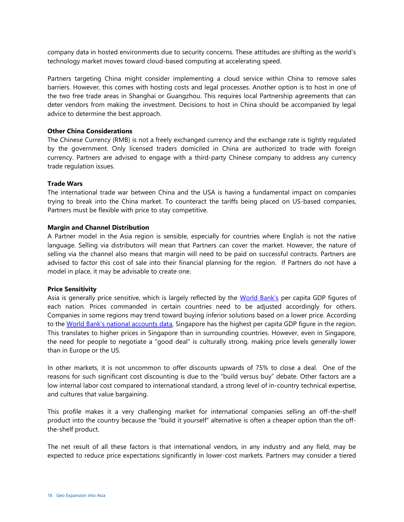company data in hosted environments due to security concerns. These attitudes are shifting as the world's technology market moves toward cloud-based computing at accelerating speed.

Partners targeting China might consider implementing a cloud service within China to remove sales barriers. However, this comes with hosting costs and legal processes. Another option is to host in one of the two free trade areas in Shanghai or Guangzhou. This requires local Partnership agreements that can deter vendors from making the investment. Decisions to host in China should be accompanied by legal advice to determine the best approach.

#### **Other China Considerations**

The Chinese Currency (RMB) is not a freely exchanged currency and the exchange rate is tightly regulated by the government. Only licensed traders domiciled in China are authorized to trade with foreign currency. Partners are advised to engage with a third-party Chinese company to address any currency trade regulation issues.

#### **Trade Wars**

The international trade war between China and the USA is having a fundamental impact on companies trying to break into the China market. To counteract the tariffs being placed on US-based companies, Partners must be flexible with price to stay competitive.

#### **Margin and Channel Distribution**

A Partner model in the Asia region is sensible, especially for countries where English is not the native language. Selling via distributors will mean that Partners can cover the market. However, the nature of selling via the channel also means that margin will need to be paid on successful contracts. Partners are advised to factor this cost of sale into their financial planning for the region. If Partners do not have a model in place, it may be advisable to create one.

#### **Price Sensitivity**

Asia is generally price sensitive, which is largely reflected by the [World Bank's](https://data.worldbank.org/indicator/NY.GDP.PCAP.CD?locations=Z4-8S-Z7) per capita GDP figures of each nation. Prices commanded in certain countries need to be adjusted accordingly for others. Companies in some regions may trend toward buying inferior solutions based on a lower price. According to the [World Bank's national accounts data](https://data.worldbank.org/indicator/NY.GDP.PCAP.CD?locations=Z4-8S-Z7), Singapore has the highest per capita GDP figure in the region. This translates to higher prices in Singapore than in surrounding countries. However, even in Singapore, the need for people to negotiate a "good deal" is culturally strong, making price levels generally lower than in Europe or the US.

In other markets, it is not uncommon to offer discounts upwards of 75% to close a deal. One of the reasons for such significant cost discounting is due to the "build versus buy" debate. Other factors are a low internal labor cost compared to international standard, a strong level of in-country technical expertise, and cultures that value bargaining.

This profile makes it a very challenging market for international companies selling an off-the-shelf product into the country because the "build it yourself" alternative is often a cheaper option than the offthe-shelf product.

The net result of all these factors is that international vendors, in any industry and any field, may be expected to reduce price expectations significantly in lower-cost markets. Partners may consider a tiered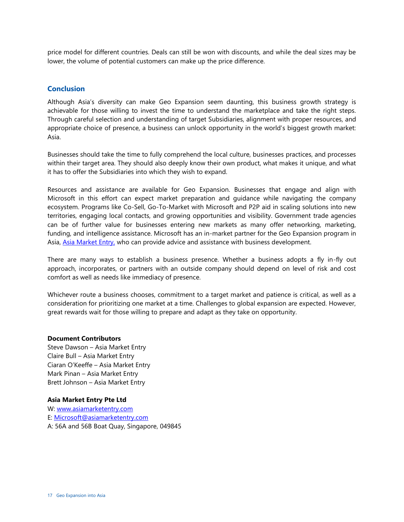price model for different countries. Deals can still be won with discounts, and while the deal sizes may be lower, the volume of potential customers can make up the price difference.

#### <span id="page-18-0"></span>**Conclusion**

Although Asia's diversity can make Geo Expansion seem daunting, this business growth strategy is achievable for those willing to invest the time to understand the marketplace and take the right steps. Through careful selection and understanding of target Subsidiaries, alignment with proper resources, and appropriate choice of presence, a business can unlock opportunity in the world's biggest growth market: Asia.

Businesses should take the time to fully comprehend the local culture, businesses practices, and processes within their target area. They should also deeply know their own product, what makes it unique, and what it has to offer the Subsidiaries into which they wish to expand.

Resources and assistance are available for Geo Expansion. Businesses that engage and align with Microsoft in this effort can expect market preparation and guidance while navigating the company ecosystem. Programs like Co-Sell, Go-To-Market with Microsoft and P2P aid in scaling solutions into new territories, engaging local contacts, and growing opportunities and visibility. Government trade agencies can be of further value for businesses entering new markets as many offer networking, marketing, funding, and intelligence assistance. Microsoft has an in-market partner for the Geo Expansion program in Asia, [Asia Market Entry,](https://www.asiamarketentry.com/) who can provide advice and assistance with business development.

There are many ways to establish a business presence. Whether a business adopts a fly in-fly out approach, incorporates, or partners with an outside company should depend on level of risk and cost comfort as well as needs like immediacy of presence.

Whichever route a business chooses, commitment to a target market and patience is critical, as well as a consideration for prioritizing one market at a time. Challenges to global expansion are expected. However, great rewards wait for those willing to prepare and adapt as they take on opportunity.

#### **Document Contributors**

Steve Dawson – Asia Market Entry Claire Bull – Asia Market Entry Ciaran O'Keeffe – Asia Market Entry Mark Pinan – Asia Market Entry Brett Johnson – Asia Market Entry

#### **Asia Market Entry Pte Ltd**

<span id="page-18-1"></span>W: [www.asiamarketentry.com](http://www.asiamarketentry.com/) E: [Microsoft@asiamarketentry.com](mailto:Microsoft@asiamarketentry.com) A: 56A and 56B Boat Quay, Singapore, 049845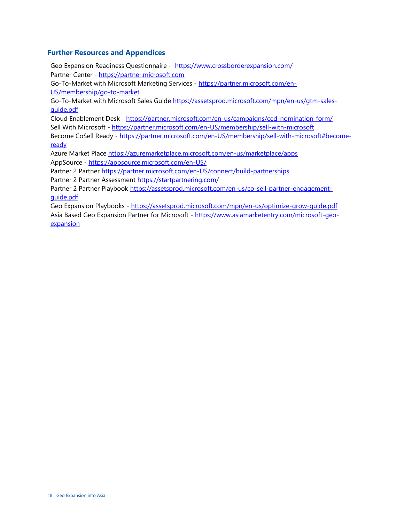#### **Further Resources and Appendices**

Geo Expansion Readiness Questionnaire - <https://www.crossborderexpansion.com/> Partner Center - [https://partner.microsoft.com](https://partner.microsoft.com/)

Go-To-Market with Microsoft Marketing Services - [https://partner.microsoft.com/en-](https://partner.microsoft.com/en-US/membership/go-to-market)[US/membership/go-to-market](https://partner.microsoft.com/en-US/membership/go-to-market)

Go-To-Market with Microsoft Sales Guide [https://assetsprod.microsoft.com/mpn/en-us/gtm-sales](https://assetsprod.microsoft.com/mpn/en-us/gtm-sales-guide.pdf)[guide.pdf](https://assetsprod.microsoft.com/mpn/en-us/gtm-sales-guide.pdf)

Cloud Enablement Desk - <https://partner.microsoft.com/en-us/campaigns/ced-nomination-form/> Sell With Microsoft - <https://partner.microsoft.com/en-US/membership/sell-with-microsoft> Become CoSell Ready - [https://partner.microsoft.com/en-US/membership/sell-with-microsoft#become](https://partner.microsoft.com/en-US/membership/sell-with-microsoft#become-ready)[ready](https://partner.microsoft.com/en-US/membership/sell-with-microsoft#become-ready)

Azure Market Place<https://azuremarketplace.microsoft.com/en-us/marketplace/apps> AppSource - <https://appsource.microsoft.com/en-US/>

Partner 2 Partner<https://partner.microsoft.com/en-US/connect/build-partnerships>

Partner 2 Partner Assessment<https://startpartnering.com/>

Partner 2 Partner Playbook [https://assetsprod.microsoft.com/en-us/co-sell-partner-engagement](https://assetsprod.microsoft.com/en-us/co-sell-partner-engagement-guide.pdf)[guide.pdf](https://assetsprod.microsoft.com/en-us/co-sell-partner-engagement-guide.pdf)

Geo Expansion Playbooks - <https://assetsprod.microsoft.com/mpn/en-us/optimize-grow-guide.pdf> Asia Based Geo Expansion Partner for Microsoft - [https://www.asiamarketentry.com/microsoft-geo](https://www.asiamarketentry.com/microsoft-geo-expansion)[expansion](https://www.asiamarketentry.com/microsoft-geo-expansion)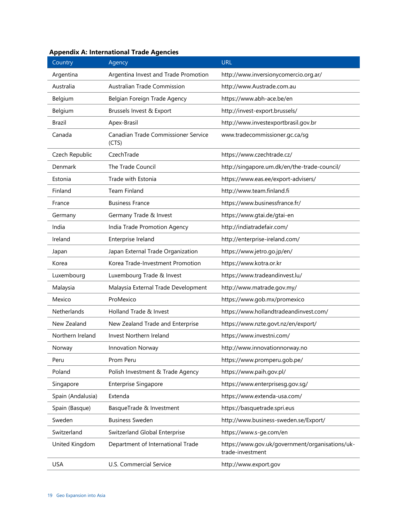| Country           | Agency                                       | <b>URL</b>                                                          |
|-------------------|----------------------------------------------|---------------------------------------------------------------------|
| Argentina         | Argentina Invest and Trade Promotion         | http://www.inversionycomercio.org.ar/                               |
| Australia         | Australian Trade Commission                  | http://www.Austrade.com.au                                          |
| Belgium           | Belgian Foreign Trade Agency                 | https://www.abh-ace.be/en                                           |
| Belgium           | Brussels Invest & Export                     | http://invest-export.brussels/                                      |
| Brazil            | Apex-Brasil                                  | http://www.investexportbrasil.gov.br                                |
| Canada            | Canadian Trade Commissioner Service<br>(CTS) | www.tradecommissioner.gc.ca/sg                                      |
| Czech Republic    | CzechTrade                                   | https://www.czechtrade.cz/                                          |
| Denmark           | The Trade Council                            | http://singapore.um.dk/en/the-trade-council/                        |
| Estonia           | Trade with Estonia                           | https://www.eas.ee/export-advisers/                                 |
| Finland           | <b>Team Finland</b>                          | http://www.team.finland.fi                                          |
| France            | <b>Business France</b>                       | https://www.businessfrance.fr/                                      |
| Germany           | Germany Trade & Invest                       | https://www.gtai.de/gtai-en                                         |
| India             | India Trade Promotion Agency                 | http://indiatradefair.com/                                          |
| Ireland           | Enterprise Ireland                           | http://enterprise-ireland.com/                                      |
| Japan             | Japan External Trade Organization            | https://www.jetro.go.jp/en/                                         |
| Korea             | Korea Trade-Investment Promotion             | https://www.kotra.or.kr                                             |
| Luxembourg        | Luxembourg Trade & Invest                    | https://www.tradeandinvest.lu/                                      |
| Malaysia          | Malaysia External Trade Development          | http://www.matrade.gov.my/                                          |
| Mexico            | ProMexico                                    | https://www.gob.mx/promexico                                        |
| Netherlands       | Holland Trade & Invest                       | https://www.hollandtradeandinvest.com/                              |
| New Zealand       | New Zealand Trade and Enterprise             | https://www.nzte.govt.nz/en/export/                                 |
| Northern Ireland  | Invest Northern Ireland                      | https://www.investni.com/                                           |
| Norway            | <b>Innovation Norway</b>                     | http://www.innovationnorway.no                                      |
| Peru              | Prom Peru                                    | https://www.promperu.gob.pe/                                        |
| Poland            | Polish Investment & Trade Agency             | https://www.paih.gov.pl/                                            |
| Singapore         | <b>Enterprise Singapore</b>                  | https://www.enterprisesg.gov.sg/                                    |
| Spain (Andalusia) | Extenda                                      | https://www.extenda-usa.com/                                        |
| Spain (Basque)    | BasqueTrade & Investment                     | https://basquetrade.spri.eus                                        |
| Sweden            | <b>Business Sweden</b>                       | http://www.business-sweden.se/Export/                               |
| Switzerland       | Switzerland Global Enterprise                | https://www.s-ge.com/en                                             |
| United Kingdom    | Department of International Trade            | https://www.gov.uk/government/organisations/uk-<br>trade-investment |
| <b>USA</b>        | U.S. Commercial Service                      | http://www.export.gov                                               |

#### **Appendix A: International Trade Agencies**